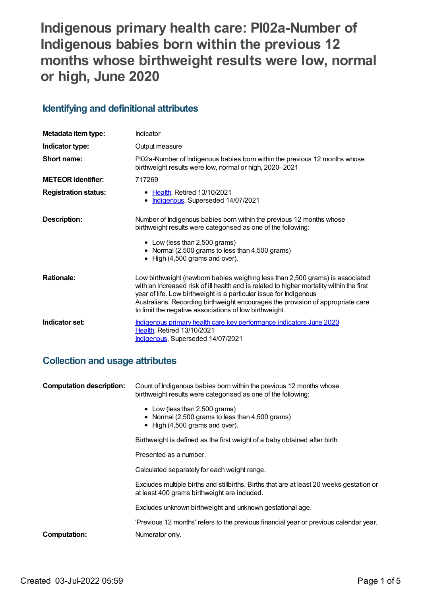# **Indigenous primary health care: PI02a-Number of Indigenous babies born within the previous 12 months whose birthweight results were low, normal or high, June 2020**

## **Identifying and definitional attributes**

| Metadata item type:         | Indicator                                                                                                                                                                                                                                                                                                                                                                                    |
|-----------------------------|----------------------------------------------------------------------------------------------------------------------------------------------------------------------------------------------------------------------------------------------------------------------------------------------------------------------------------------------------------------------------------------------|
| Indicator type:             | Output measure                                                                                                                                                                                                                                                                                                                                                                               |
| Short name:                 | PI02a-Number of Indigenous babies born within the previous 12 months whose<br>birthweight results were low, normal or high, 2020-2021                                                                                                                                                                                                                                                        |
| <b>METEOR identifier:</b>   | 717269                                                                                                                                                                                                                                                                                                                                                                                       |
| <b>Registration status:</b> | <b>Health, Retired 13/10/2021</b><br>٠<br>Indigenous, Superseded 14/07/2021                                                                                                                                                                                                                                                                                                                  |
| Description:                | Number of Indigenous babies born within the previous 12 months whose<br>birthweight results were categorised as one of the following:<br>• Low (less than 2,500 grams)<br>• Normal (2,500 grams to less than 4,500 grams)<br>$\bullet$ High (4,500 grams and over).                                                                                                                          |
| <b>Rationale:</b>           | Low birthweight (newborn babies weighing less than 2,500 grams) is associated<br>with an increased risk of ill health and is related to higher mortality within the first<br>year of life. Low birthweight is a particular issue for Indigenous<br>Australians. Recording birthweight encourages the provision of appropriate care<br>to limit the negative associations of low birthweight. |
| Indicator set:              | Indigenous primary health care key performance indicators June 2020<br>Health, Retired 13/10/2021<br>Indigenous, Superseded 14/07/2021                                                                                                                                                                                                                                                       |

## **Collection and usage attributes**

| <b>Computation description:</b> | Count of Indigenous babies born within the previous 12 months whose<br>birthweight results were categorised as one of the following:                                                                                                                                                                                                                          |  |
|---------------------------------|---------------------------------------------------------------------------------------------------------------------------------------------------------------------------------------------------------------------------------------------------------------------------------------------------------------------------------------------------------------|--|
|                                 | • Low (less than 2,500 grams)<br>• Normal (2,500 grams to less than 4,500 grams)<br>$\bullet$ High (4,500 grams and over).                                                                                                                                                                                                                                    |  |
|                                 | Birthweight is defined as the first weight of a baby obtained after birth.<br>Presented as a number.<br>Calculated separately for each weight range.<br>Excludes multiple births and stillbirths. Births that are at least 20 weeks gestation or<br>at least 400 grams birthweight are included.<br>Excludes unknown birthweight and unknown gestational age. |  |
|                                 |                                                                                                                                                                                                                                                                                                                                                               |  |
|                                 |                                                                                                                                                                                                                                                                                                                                                               |  |
|                                 |                                                                                                                                                                                                                                                                                                                                                               |  |
|                                 |                                                                                                                                                                                                                                                                                                                                                               |  |
|                                 | 'Previous 12 months' refers to the previous financial year or previous calendar year.                                                                                                                                                                                                                                                                         |  |
| Computation:                    | Numerator only.                                                                                                                                                                                                                                                                                                                                               |  |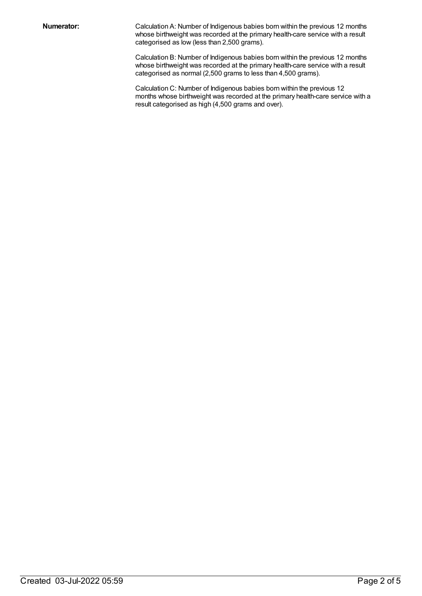**Numerator:** Calculation A: Number of Indigenous babies born within the previous 12 months whose birthweight was recorded at the primary health-care service with a result categorised as low (less than 2,500 grams).

> Calculation B: Number of Indigenous babies born within the previous 12 months whose birthweight was recorded at the primary health-care service with a result categorised as normal (2,500 grams to less than 4,500 grams).

Calculation C: Number of Indigenous babies born within the previous 12 months whose birthweight was recorded at the primary health-care service with a result categorised as high (4,500 grams and over).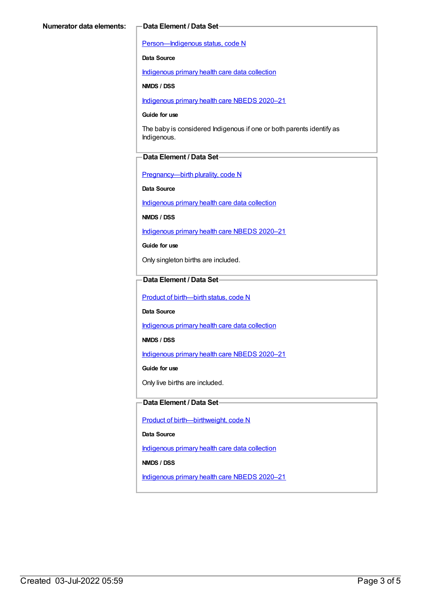[Person—Indigenous](https://meteor.aihw.gov.au/content/602543) status, code N

**Data Source**

[Indigenous](https://meteor.aihw.gov.au/content/430643) primary health care data collection

**NMDS / DSS**

[Indigenous](https://meteor.aihw.gov.au/content/715320) primary health care NBEDS 2020–21

#### **Guide for use**

The baby is considered Indigenous if one or both parents identify as Indigenous.

#### **Data Element / Data Set**

[Pregnancy—birth](https://meteor.aihw.gov.au/content/695308) plurality, code N

**Data Source**

[Indigenous](https://meteor.aihw.gov.au/content/430643) primary health care data collection

**NMDS / DSS**

[Indigenous](https://meteor.aihw.gov.au/content/715320) primary health care NBEDS 2020–21

**Guide for use**

Only singleton births are included.

### **Data Element / Data Set**

Product of [birth—birth](https://meteor.aihw.gov.au/content/695437) status, code N

**Data Source**

[Indigenous](https://meteor.aihw.gov.au/content/430643) primary health care data collection

**NMDS / DSS**

[Indigenous](https://meteor.aihw.gov.au/content/715320) primary health care NBEDS 2020-21

**Guide for use**

Only live births are included.

#### **Data Element / Data Set**

Product of [birth—birthweight,](https://meteor.aihw.gov.au/content/709560) code N

**Data Source**

[Indigenous](https://meteor.aihw.gov.au/content/430643) primary health care data collection

**NMDS / DSS**

[Indigenous](https://meteor.aihw.gov.au/content/715320) primary health care NBEDS 2020–21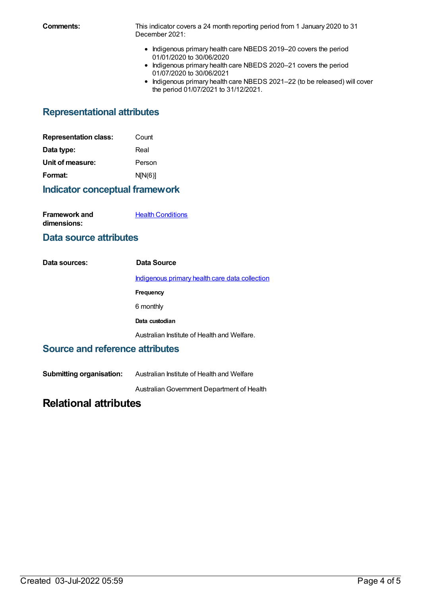**Comments:** This indicator covers a 24 month reporting period from 1 January 2020 to 31 December 2021:

- Indigenous primary health care NBEDS 2019-20 covers the period 01/01/2020 to 30/06/2020
- Indigenous primary health care NBEDS 2020-21 covers the period 01/07/2020 to 30/06/2021
- Indigenous primary health care NBEDS 2021-22 (to be released) will cover the period 01/07/2021 to 31/12/2021.

## **Representational attributes**

| <b>Representation class:</b> | Count   |
|------------------------------|---------|
| Data type:                   | Real    |
| Unit of measure:             | Person  |
| Format:                      | N[N(6)] |

## **Indicator conceptual framework**

| <b>Framework and</b> | <b>Health Conditions</b> |
|----------------------|--------------------------|
| dimensions:          |                          |

## **Data source attributes**

| Data sources: | Data Source                                    |
|---------------|------------------------------------------------|
|               | Indigenous primary health care data collection |
|               | Frequency                                      |
|               | 6 monthly                                      |
|               | Data custodian                                 |
|               | Australian Institute of Health and Welfare.    |

## **Source and reference attributes**

**Submitting organisation:** Australian Institute of Health and Welfare

AustralianGovernment Department of Health

## **Relational attributes**